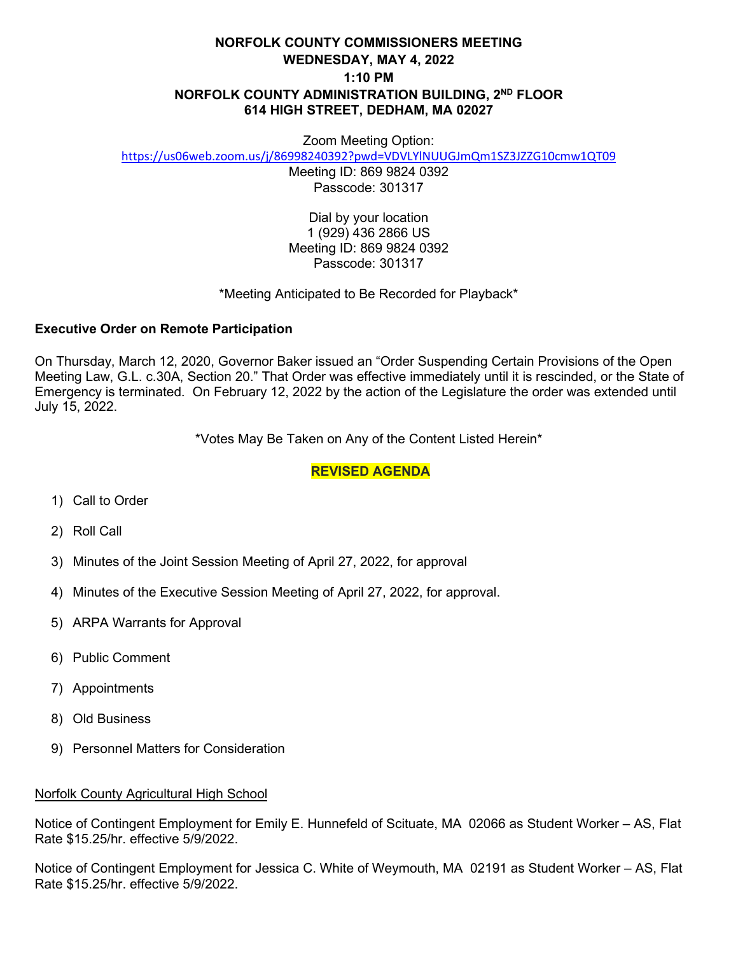# **NORFOLK COUNTY COMMISSIONERS MEETING WEDNESDAY, MAY 4, 2022 1:10 PM NORFOLK COUNTY ADMINISTRATION BUILDING, 2ND FLOOR 614 HIGH STREET, DEDHAM, MA 02027**

#### Zoom Meeting Option:

<https://us06web.zoom.us/j/86998240392?pwd=VDVLYlNUUGJmQm1SZ3JZZG10cmw1QT09>

Meeting ID: 869 9824 0392 Passcode: 301317

Dial by your location 1 (929) 436 2866 US Meeting ID: 869 9824 0392 Passcode: 301317

#### \*Meeting Anticipated to Be Recorded for Playback\*

#### **Executive Order on Remote Participation**

On Thursday, March 12, 2020, Governor Baker issued an "Order Suspending Certain Provisions of the Open Meeting Law, G.L. c.30A, Section 20." That Order was effective immediately until it is rescinded, or the State of Emergency is terminated. On February 12, 2022 by the action of the Legislature the order was extended until July 15, 2022.

\*Votes May Be Taken on Any of the Content Listed Herein\*

### **REVISED AGENDA**

- 1) Call to Order
- 2) Roll Call
- 3) Minutes of the Joint Session Meeting of April 27, 2022, for approval
- 4) Minutes of the Executive Session Meeting of April 27, 2022, for approval.
- 5) ARPA Warrants for Approval
- 6) Public Comment
- 7) Appointments
- 8) Old Business
- 9) Personnel Matters for Consideration

#### Norfolk County Agricultural High School

Notice of Contingent Employment for Emily E. Hunnefeld of Scituate, MA 02066 as Student Worker – AS, Flat Rate \$15.25/hr. effective 5/9/2022.

Notice of Contingent Employment for Jessica C. White of Weymouth, MA 02191 as Student Worker – AS, Flat Rate \$15.25/hr. effective 5/9/2022.